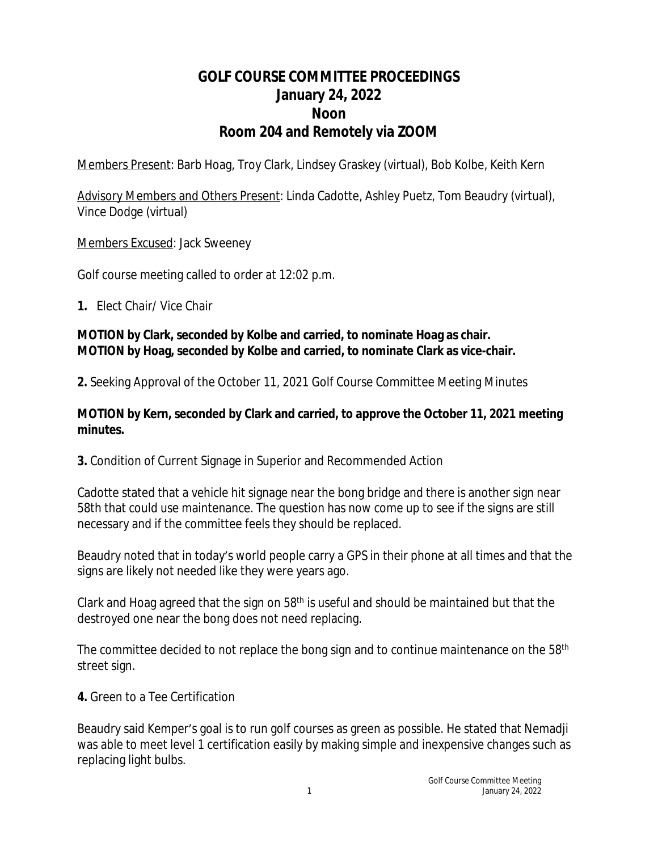# **GOLF COURSE COMMITTEE PROCEEDINGS January 24, 2022 Noon Room 204 and Remotely via ZOOM**

Members Present: Barb Hoag, Troy Clark, Lindsey Graskey (virtual), Bob Kolbe, Keith Kern

Advisory Members and Others Present: Linda Cadotte, Ashley Puetz, Tom Beaudry (virtual), Vince Dodge (virtual)

Members Excused: Jack Sweeney

Golf course meeting called to order at 12:02 p.m.

**1.** Elect Chair/ Vice Chair

#### **MOTION by Clark, seconded by Kolbe and carried, to nominate Hoag as chair. MOTION by Hoag, seconded by Kolbe and carried, to nominate Clark as vice-chair.**

**2.** Seeking Approval of the October 11, 2021 Golf Course Committee Meeting Minutes

#### **MOTION by Kern, seconded by Clark and carried, to approve the October 11, 2021 meeting minutes.**

**3.** Condition of Current Signage in Superior and Recommended Action

Cadotte stated that a vehicle hit signage near the bong bridge and there is another sign near 58th that could use maintenance. The question has now come up to see if the signs are still necessary and if the committee feels they should be replaced.

Beaudry noted that in today's world people carry a GPS in their phone at all times and that the signs are likely not needed like they were years ago.

Clark and Hoag agreed that the sign on 58th is useful and should be maintained but that the destroyed one near the bong does not need replacing.

The committee decided to not replace the bong sign and to continue maintenance on the 58<sup>th</sup> street sign.

**4.** Green to a Tee Certification

Beaudry said Kemper's goal is to run golf courses as green as possible. He stated that Nemadji was able to meet level 1 certification easily by making simple and inexpensive changes such as replacing light bulbs.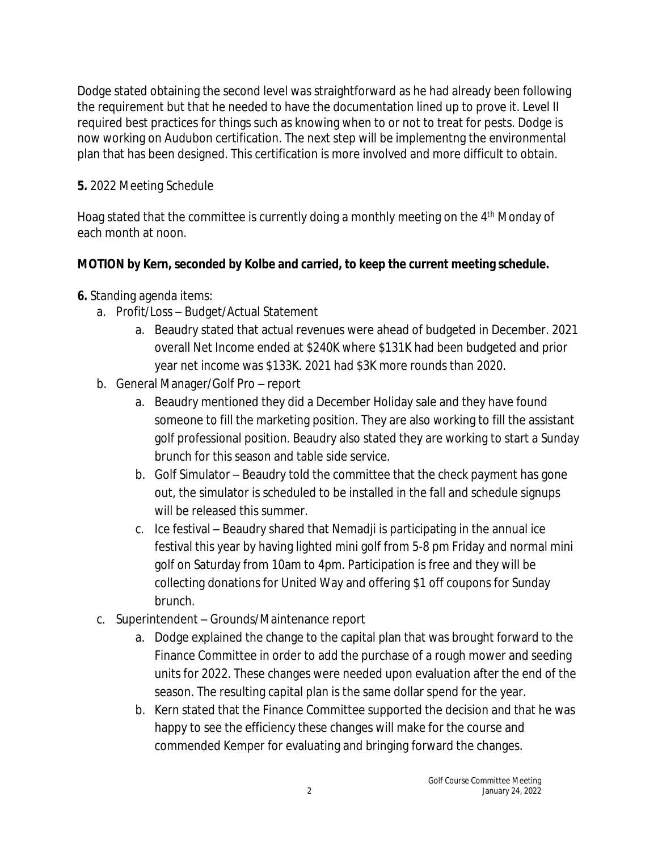Dodge stated obtaining the second level was straightforward as he had already been following the requirement but that he needed to have the documentation lined up to prove it. Level II required best practices for things such as knowing when to or not to treat for pests. Dodge is now working on Audubon certification. The next step will be implementng the environmental plan that has been designed. This certification is more involved and more difficult to obtain.

### **5.** 2022 Meeting Schedule

Hoag stated that the committee is currently doing a monthly meeting on the 4<sup>th</sup> Monday of each month at noon.

### **MOTION by Kern, seconded by Kolbe and carried, to keep the current meeting schedule.**

- **6.** Standing agenda items:
	- a. Profit/Loss Budget/Actual Statement
		- a. Beaudry stated that actual revenues were ahead of budgeted in December. 2021 overall Net Income ended at \$240K where \$131K had been budgeted and prior year net income was \$133K. 2021 had \$3K more rounds than 2020.
	- b. General Manager/Golf Pro report
		- a. Beaudry mentioned they did a December Holiday sale and they have found someone to fill the marketing position. They are also working to fill the assistant golf professional position. Beaudry also stated they are working to start a Sunday brunch for this season and table side service.
		- b. Golf Simulator Beaudry told the committee that the check payment has gone out, the simulator is scheduled to be installed in the fall and schedule signups will be released this summer.
		- c. Ice festival Beaudry shared that Nemadji is participating in the annual ice festival this year by having lighted mini golf from 5-8 pm Friday and normal mini golf on Saturday from 10am to 4pm. Participation is free and they will be collecting donations for United Way and offering \$1 off coupons for Sunday brunch.
	- c. Superintendent Grounds/Maintenance report
		- a. Dodge explained the change to the capital plan that was brought forward to the Finance Committee in order to add the purchase of a rough mower and seeding units for 2022. These changes were needed upon evaluation after the end of the season. The resulting capital plan is the same dollar spend for the year.
		- b. Kern stated that the Finance Committee supported the decision and that he was happy to see the efficiency these changes will make for the course and commended Kemper for evaluating and bringing forward the changes.